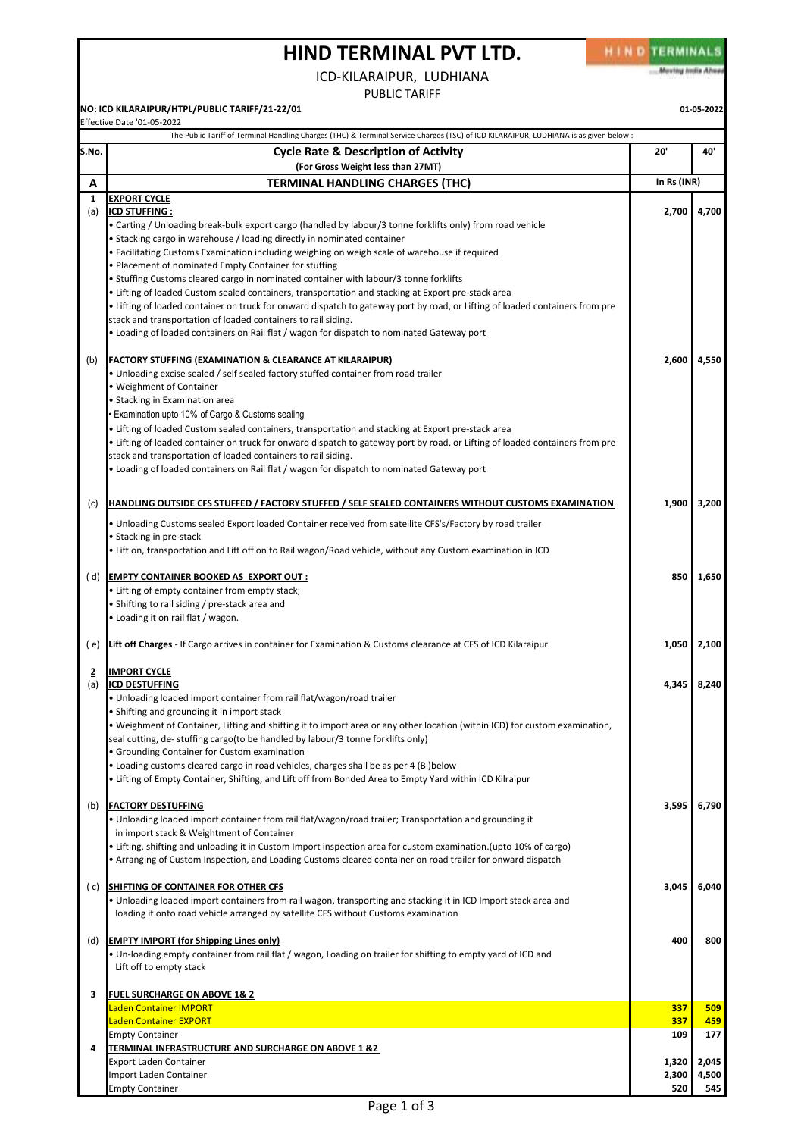## **HIND TERMINAL PVT LTD.**

HIND TERMINALS Moving India Ahea

ICD-KILARAIPUR, LUDHIANA

PUBLIC TARIFF

**NO: ICD KILARAIPUR/HTPL/PUBLIC TARIFF/21-22/01 01-05-2022**

| S.No.<br>A            | <b>Cycle Rate &amp; Description of Activity</b>                                                                                                                                                                                                                                                                                                                                                                                                                                                                                                                                                                                                                                                                                                                                              | 20'                   | 40'                   |
|-----------------------|----------------------------------------------------------------------------------------------------------------------------------------------------------------------------------------------------------------------------------------------------------------------------------------------------------------------------------------------------------------------------------------------------------------------------------------------------------------------------------------------------------------------------------------------------------------------------------------------------------------------------------------------------------------------------------------------------------------------------------------------------------------------------------------------|-----------------------|-----------------------|
|                       | (For Gross Weight less than 27MT)                                                                                                                                                                                                                                                                                                                                                                                                                                                                                                                                                                                                                                                                                                                                                            |                       |                       |
|                       | <b>TERMINAL HANDLING CHARGES (THC)</b>                                                                                                                                                                                                                                                                                                                                                                                                                                                                                                                                                                                                                                                                                                                                                       | In Rs (INR)           |                       |
| 1<br>(a)              | <b>EXPORT CYCLE</b><br><b>ICD STUFFING:</b><br>• Carting / Unloading break-bulk export cargo (handled by labour/3 tonne forklifts only) from road vehicle<br>• Stacking cargo in warehouse / loading directly in nominated container<br>• Facilitating Customs Examination including weighing on weigh scale of warehouse if required<br>. Placement of nominated Empty Container for stuffing<br>• Stuffing Customs cleared cargo in nominated container with labour/3 tonne forklifts<br>Lifting of loaded Custom sealed containers, transportation and stacking at Export pre-stack area<br>• Lifting of loaded container on truck for onward dispatch to gateway port by road, or Lifting of loaded containers from pre<br>stack and transportation of loaded containers to rail siding. | 2,700                 | 4,700                 |
| (b)                   | • Loading of loaded containers on Rail flat / wagon for dispatch to nominated Gateway port<br><b>FACTORY STUFFING (EXAMINATION &amp; CLEARANCE AT KILARAIPUR)</b><br>. Unloading excise sealed / self sealed factory stuffed container from road trailer<br>• Weighment of Container<br>· Stacking in Examination area<br>· Examination upto 10% of Cargo & Customs sealing<br>• Lifting of loaded Custom sealed containers, transportation and stacking at Export pre-stack area<br>• Lifting of loaded container on truck for onward dispatch to gateway port by road, or Lifting of loaded containers from pre                                                                                                                                                                            | 2,600                 | 4,550                 |
| (c)                   | stack and transportation of loaded containers to rail siding.<br>. Loading of loaded containers on Rail flat / wagon for dispatch to nominated Gateway port<br>HANDLING OUTSIDE CFS STUFFED / FACTORY STUFFED / SELF SEALED CONTAINERS WITHOUT CUSTOMS EXAMINATION<br>. Unloading Customs sealed Export loaded Container received from satellite CFS's/Factory by road trailer<br>• Stacking in pre-stack                                                                                                                                                                                                                                                                                                                                                                                    | 1,900                 | 3,200                 |
|                       | Ift on, transportation and Lift off on to Rail wagon/Road vehicle, without any Custom examination in ICD<br>(d) EMPTY CONTAINER BOOKED AS EXPORT OUT :<br>• Lifting of empty container from empty stack;<br>• Shifting to rail siding / pre-stack area and<br>• Loading it on rail flat / wagon.                                                                                                                                                                                                                                                                                                                                                                                                                                                                                             | 850                   | 1,650                 |
| (e)                   | Lift off Charges - If Cargo arrives in container for Examination & Customs clearance at CFS of ICD Kilaraipur                                                                                                                                                                                                                                                                                                                                                                                                                                                                                                                                                                                                                                                                                | 1,050                 | 2,100                 |
| $\overline{2}$<br>(a) | <b>IMPORT CYCLE</b><br><b>ICD DESTUFFING</b><br>• Unloading loaded import container from rail flat/wagon/road trailer<br>• Shifting and grounding it in import stack<br>• Weighment of Container, Lifting and shifting it to import area or any other location (within ICD) for custom examination,<br>seal cutting, de-stuffing cargo(to be handled by labour/3 tonne forklifts only)<br>• Grounding Container for Custom examination<br>• Loading customs cleared cargo in road vehicles, charges shall be as per 4 (B ) below<br>Lifting of Empty Container, Shifting, and Lift off from Bonded Area to Empty Yard within ICD Kilraipur                                                                                                                                                   | 4,345                 | 8,240                 |
| (b)                   | <b>FACTORY DESTUFFING</b><br>• Unloading loaded import container from rail flat/wagon/road trailer; Transportation and grounding it<br>in import stack & Weightment of Container<br>• Lifting, shifting and unloading it in Custom Import inspection area for custom examination.(upto 10% of cargo)<br>• Arranging of Custom Inspection, and Loading Customs cleared container on road trailer for onward dispatch                                                                                                                                                                                                                                                                                                                                                                          | 3,595                 | 6,790                 |
| ( c)                  | SHIFTING OF CONTAINER FOR OTHER CFS<br>• Unloading loaded import containers from rail wagon, transporting and stacking it in ICD Import stack area and<br>loading it onto road vehicle arranged by satellite CFS without Customs examination                                                                                                                                                                                                                                                                                                                                                                                                                                                                                                                                                 | 3,045                 | 6,040                 |
| (d)                   | <b>EMPTY IMPORT (for Shipping Lines only)</b><br>• Un-loading empty container from rail flat / wagon, Loading on trailer for shifting to empty yard of ICD and<br>Lift off to empty stack                                                                                                                                                                                                                                                                                                                                                                                                                                                                                                                                                                                                    | 400                   | 800                   |
| З                     | <b>FUEL SURCHARGE ON ABOVE 1&amp; 2</b>                                                                                                                                                                                                                                                                                                                                                                                                                                                                                                                                                                                                                                                                                                                                                      |                       |                       |
|                       | Laden Container IMPORT<br>Laden Container EXPORT                                                                                                                                                                                                                                                                                                                                                                                                                                                                                                                                                                                                                                                                                                                                             | 337<br>337            | 509<br>459            |
|                       | <b>Empty Container</b>                                                                                                                                                                                                                                                                                                                                                                                                                                                                                                                                                                                                                                                                                                                                                                       | 109                   | 177                   |
| 4                     | <b>TERMINAL INFRASTRUCTURE AND SURCHARGE ON ABOVE 1 &amp;2</b><br><b>Export Laden Container</b><br>Import Laden Container                                                                                                                                                                                                                                                                                                                                                                                                                                                                                                                                                                                                                                                                    | 1,320<br>2,300<br>520 | 2,045<br>4,500<br>545 |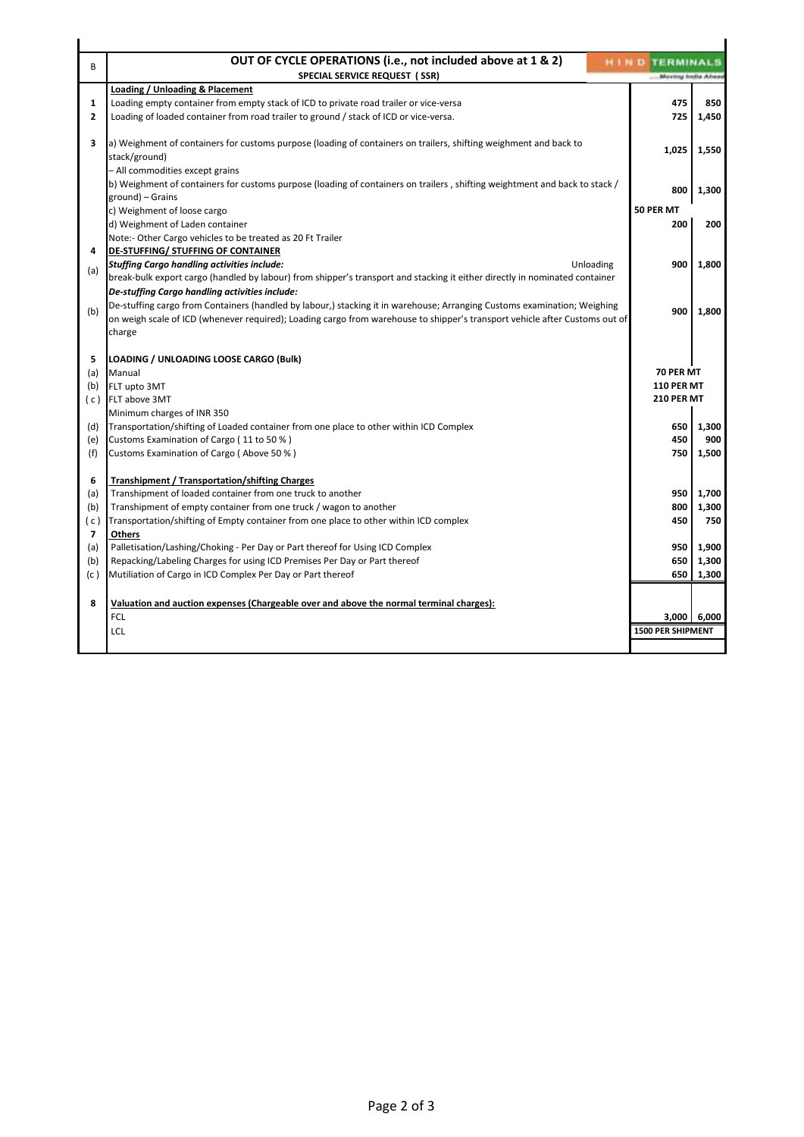| B            | OUT OF CYCLE OPERATIONS (i.e., not included above at 1 & 2)<br><b>SPECIAL SERVICE REQUEST (SSR)</b>                                                                                                                                                     | <b>HIND TERMINALS</b><br>Moving India Ahea |             |
|--------------|---------------------------------------------------------------------------------------------------------------------------------------------------------------------------------------------------------------------------------------------------------|--------------------------------------------|-------------|
|              | Loading / Unloading & Placement                                                                                                                                                                                                                         |                                            |             |
| 1            | Loading empty container from empty stack of ICD to private road trailer or vice-versa                                                                                                                                                                   | 475                                        | 850         |
| $\mathbf{2}$ | Loading of loaded container from road trailer to ground / stack of ICD or vice-versa.                                                                                                                                                                   | 725                                        | 1,450       |
| 3            | a) Weighment of containers for customs purpose (loading of containers on trailers, shifting weighment and back to<br>stack/ground)                                                                                                                      | 1,025                                      | 1,550       |
|              | - All commodities except grains                                                                                                                                                                                                                         |                                            |             |
|              | b) Weighment of containers for customs purpose (loading of containers on trailers, shifting weightment and back to stack /                                                                                                                              | 800                                        | 1,300       |
|              | ground) – Grains                                                                                                                                                                                                                                        |                                            |             |
|              | c) Weighment of loose cargo                                                                                                                                                                                                                             | 50 PER MT                                  |             |
|              | d) Weighment of Laden container                                                                                                                                                                                                                         | 200                                        | 200         |
|              | Note:- Other Cargo vehicles to be treated as 20 Ft Trailer                                                                                                                                                                                              |                                            |             |
| 4            | <b>DE-STUFFING/ STUFFING OF CONTAINER</b>                                                                                                                                                                                                               |                                            |             |
| (a)          | <b>Stuffing Cargo handling activities include:</b><br>Unloading                                                                                                                                                                                         | 900                                        | 1,800       |
|              | break-bulk export cargo (handled by labour) from shipper's transport and stacking it either directly in nominated container                                                                                                                             |                                            |             |
|              | De-stuffing Cargo handling activities include:                                                                                                                                                                                                          |                                            |             |
| (b)          | De-stuffing cargo from Containers (handled by labour,) stacking it in warehouse; Arranging Customs examination; Weighing<br>on weigh scale of ICD (whenever required); Loading cargo from warehouse to shipper's transport vehicle after Customs out of | 900                                        | 1,800       |
|              | charge                                                                                                                                                                                                                                                  |                                            |             |
|              |                                                                                                                                                                                                                                                         |                                            |             |
| 5            | LOADING / UNLOADING LOOSE CARGO (Bulk)                                                                                                                                                                                                                  |                                            |             |
| (a)          | Manual                                                                                                                                                                                                                                                  | 70 PER MT                                  |             |
| (b)          | FLT upto 3MT                                                                                                                                                                                                                                            | <b>110 PER MT</b>                          |             |
| (c)          | FLT above 3MT                                                                                                                                                                                                                                           | <b>210 PER MT</b>                          |             |
|              | Minimum charges of INR 350                                                                                                                                                                                                                              |                                            |             |
| (d)          | Transportation/shifting of Loaded container from one place to other within ICD Complex                                                                                                                                                                  | 650                                        | 1,300       |
| (e)          | Customs Examination of Cargo (11 to 50 %)                                                                                                                                                                                                               | 450                                        | 900         |
| (f)          | Customs Examination of Cargo (Above 50 %)                                                                                                                                                                                                               | 750                                        | 1,500       |
|              |                                                                                                                                                                                                                                                         |                                            |             |
| 6            | <b>Transhipment / Transportation/shifting Charges</b>                                                                                                                                                                                                   |                                            |             |
| (a)          | Transhipment of loaded container from one truck to another                                                                                                                                                                                              | 950                                        | 1,700       |
| (b)          | Transhipment of empty container from one truck / wagon to another                                                                                                                                                                                       | 800                                        | 1,300       |
| (c)          | Transportation/shifting of Empty container from one place to other within ICD complex                                                                                                                                                                   | 450                                        | 750         |
| 7            | Others                                                                                                                                                                                                                                                  |                                            |             |
| (a)          | Palletisation/Lashing/Choking - Per Day or Part thereof for Using ICD Complex                                                                                                                                                                           | 950                                        | 1,900       |
| (b)          | Repacking/Labeling Charges for using ICD Premises Per Day or Part thereof                                                                                                                                                                               | 650                                        | 1,300       |
|              | Mutiliation of Cargo in ICD Complex Per Day or Part thereof                                                                                                                                                                                             | 650                                        | 1,300       |
| (c)          |                                                                                                                                                                                                                                                         |                                            |             |
|              |                                                                                                                                                                                                                                                         |                                            |             |
| 8            |                                                                                                                                                                                                                                                         |                                            |             |
|              | Valuation and auction expenses (Chargeable over and above the normal terminal charges):                                                                                                                                                                 |                                            |             |
|              | FCL                                                                                                                                                                                                                                                     | <b>1500 PER SHIPMENT</b>                   | 3,000 6,000 |
|              | LCL                                                                                                                                                                                                                                                     |                                            |             |